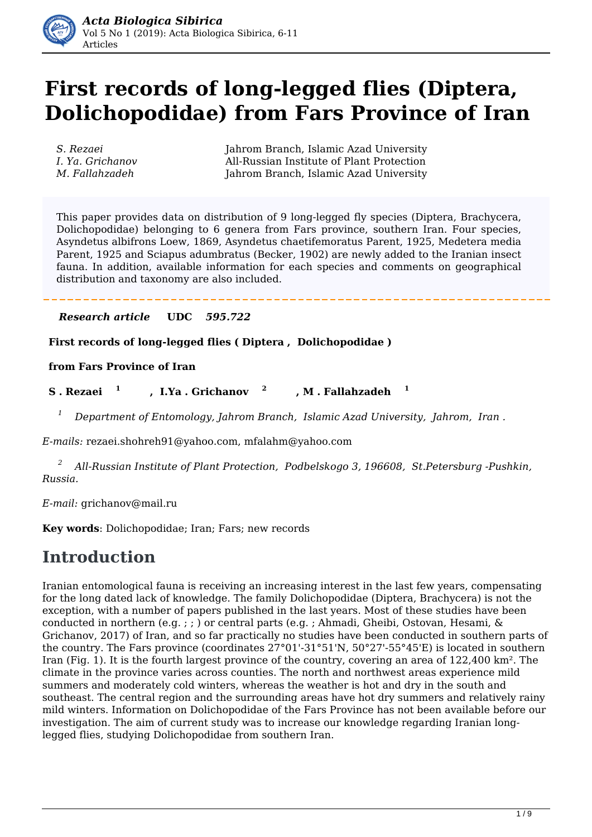

# **First records of long-legged flies (Diptera, Dolichopodidae) from Fars Province of Iran**

*S. Rezaei* Jahrom Branch, Islamic Azad University *I. Ya. Grichanov* All-Russian Institute of Plant Protection *M. Fallahzadeh* Jahrom Branch, Islamic Azad University

This paper provides data on distribution of 9 long-legged fly species (Diptera, Brachycera, Dolichopodidae) belonging to 6 genera from Fars province, southern Iran. Four species, Asyndetus albifrons Loew, 1869, Asyndetus chaetifemoratus Parent, 1925, Medetera media Parent, 1925 and Sciapus adumbratus (Becker, 1902) are newly added to the Iranian insect fauna. In addition, available information for each species and comments on geographical distribution and taxonomy are also included.

### *Research article* **UDC** *595.722*

**First records of long-legged flies ( Diptera , Dolichopodidae )** 

**from Fars Province of Iran**

 **S . Rezaei 1 , I.Ya . Grichanov 2 , M . Fallahzadeh 1**

*1 Department of Entomology, Jahrom Branch, Islamic Azad University, Jahrom, Iran .*

*E-mails:* rezaei.shohreh91@yahoo.com, mfalahm@yahoo.com

*2 All-Russian Institute of Plant Protection, Podbelskogo 3, 196608, St.Petersburg -Pushkin, Russia.* 

*E-mail:* grichanov@mail.ru

**Key words**: Dolichopodidae; Iran; Fars; new records

## **Introduction**

Iranian entomological fauna is receiving an increasing interest in the last few years, compensating for the long dated lack of knowledge. The family Dolichopodidae (Diptera, Brachycera) is not the exception, with a number of papers published in the last years. Most of these studies have been conducted in northern (e.g. ; ; ) or central parts (e.g. ; Ahmadi, Gheibi, Ostovan, Hesami, & Grichanov, 2017) of Iran, and so far practically no studies have been conducted in southern parts of the country. The Fars province (coordinates 27°01'-31°51'N, 50°27'-55°45'E) is located in southern Iran (Fig. 1). It is the fourth largest province of the country, covering an area of 122,400 km². The climate in the province varies across counties. The north and northwest areas experience mild summers and moderately cold winters, whereas the weather is hot and dry in the south and southeast. The central region and the surrounding areas have hot dry summers and relatively rainy mild winters. Information on Dolichopodidae of the Fars Province has not been available before our investigation. The aim of current study was to increase our knowledge regarding Iranian longlegged flies, studying Dolichopodidae from southern Iran.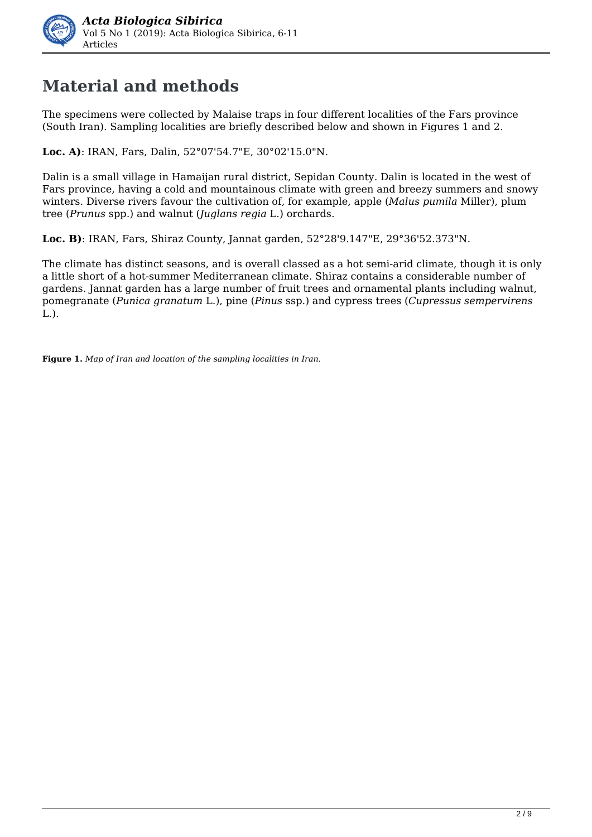

## **Material and methods**

The specimens were collected by Malaise traps in four different localities of the Fars province (South Iran). Sampling localities are briefly described below and shown in Figures 1 and 2.

**Loc. A)**: IRAN, Fars, Dalin, 52°07'54.7"E, 30°02'15.0"N.

Dalin is a small village in Hamaijan rural district, Sepidan County. Dalin is located in the west of Fars province, having a cold and mountainous climate with green and breezy summers and snowy winters. Diverse rivers favour the cultivation of, for example, apple (*Malus pumila* Miller), plum tree (*Prunus* spp.) and walnut (*Juglans regia* L.) orchards.

**Loc. B)**: IRAN, Fars, Shiraz County, Jannat garden, 52°28'9.147"E, 29°36'52.373"N.

The climate has distinct seasons, and is overall classed as a hot semi-arid climate, though it is only a little short of a hot-summer Mediterranean climate. Shiraz contains a considerable number of gardens. Jannat garden has a large number of fruit trees and ornamental plants including walnut, pomegranate (*Punica granatum* L.), pine (*Pinus* ssp.) and cypress trees (*Cupressus sempervirens* L.).

**Figure 1.** *Map of Iran and location of the sampling localities in Iran.*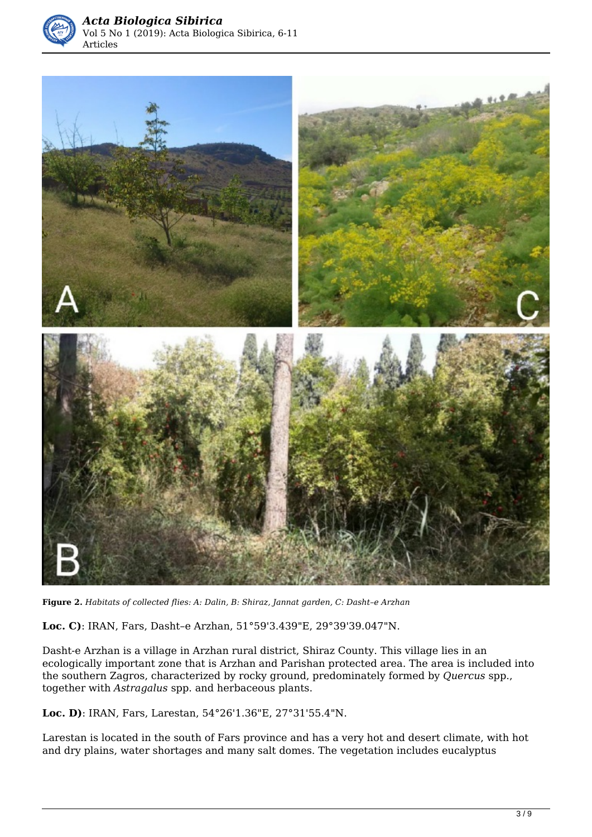



**Figure 2.** *Habitats of collected flies: A: Dalin, B: Shiraz, Jannat garden, C: Dasht–e Arzhan* 

**Loc. C)**: IRAN, Fars, Dasht–e Arzhan, 51°59'3.439"E, 29°39'39.047"N.

Dasht-e Arzhan is a village in Arzhan rural district, Shiraz County. This village lies in an ecologically important zone that is Arzhan and Parishan protected area. The area is included into the southern Zagros, characterized by rocky ground, predominately formed by *Quercus* spp., together with *Astragalus* spp. and herbaceous plants.

**Loc. D)**: IRAN, Fars, Larestan, 54°26'1.36"E, 27°31'55.4"N.

Larestan is located in the south of Fars province and has a very hot and desert climate, with hot and dry plains, water shortages and many salt domes. The vegetation includes eucalyptus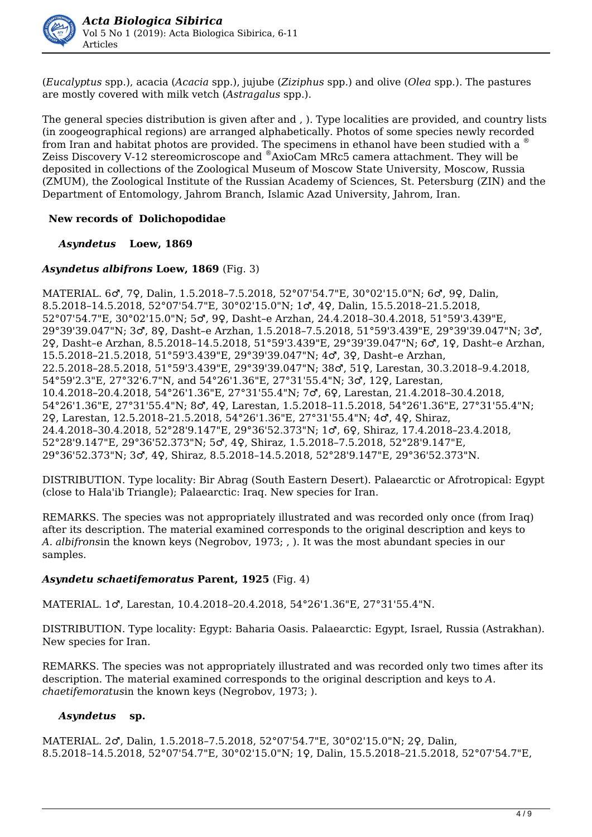

(*Eucalyptus* spp.), acacia (*Acacia* spp.), jujube (*Ziziphus* spp.) and olive (*Olea* spp.). The pastures are mostly covered with milk vetch (*Astragalus* spp.).

The general species distribution is given after and , ). Type localities are provided, and country lists (in zoogeographical regions) are arranged alphabetically. Photos of some species newly recorded from Iran and habitat photos are provided. The specimens in ethanol have been studied with a Zeiss Discovery V-12 stereomicroscope and ®AxioCam MRc5 camera attachment. They will be deposited in collections of the Zoological Museum of Moscow State University, Moscow, Russia (ZMUM), the Zoological Institute of the Russian Academy of Sciences, St. Petersburg (ZIN) and the Department of Entomology, Jahrom Branch, Islamic Azad University, Jahrom, Iran.

### **New records of Dolichopodidae**

*Asyndetus* **Loew, 1869**

### *Asyndetus albifrons* **Loew, 1869** (Fig. 3)

MATERIAL. 6♂, 7♀, Dalin, 1.5.2018–7.5.2018, 52°07'54.7"E, 30°02'15.0"N; 6♂, 9♀, Dalin, 8.5.2018–14.5.2018, 52°07'54.7"E, 30°02'15.0"N; 1♂, 4♀, Dalin, 15.5.2018–21.5.2018, 52°07'54.7"E, 30°02'15.0"N; 5♂, 9♀, Dasht–e Arzhan, 24.4.2018–30.4.2018, 51°59'3.439"E, 29°39'39.047"N; 3♂, 8♀, Dasht–e Arzhan, 1.5.2018–7.5.2018, 51°59'3.439"E, 29°39'39.047"N; 3♂, 2♀, Dasht–e Arzhan, 8.5.2018–14.5.2018, 51°59'3.439"E, 29°39'39.047"N; 6♂, 1♀, Dasht–e Arzhan, 15.5.2018–21.5.2018, 51°59'3.439"E, 29°39'39.047"N; 4♂, 3♀, Dasht–e Arzhan, 22.5.2018–28.5.2018, 51°59'3.439"E, 29°39'39.047"N; 38♂, 51♀, Larestan, 30.3.2018–9.4.2018, 54°59'2.3"E, 27°32'6.7"N, and 54°26'1.36"E, 27°31'55.4"N; 3♂, 12♀, Larestan, 10.4.2018–20.4.2018, 54°26'1.36"E, 27°31'55.4"N; 7♂, 6♀, Larestan, 21.4.2018–30.4.2018, 54°26'1.36"E, 27°31'55.4"N; 8♂, 4♀, Larestan, 1.5.2018–11.5.2018, 54°26'1.36"E, 27°31'55.4"N; 2♀, Larestan, 12.5.2018–21.5.2018, 54°26'1.36"E, 27°31'55.4"N; 4♂, 4♀, Shiraz, 24.4.2018–30.4.2018, 52°28'9.147"E, 29°36'52.373"N; 1♂, 6♀, Shiraz, 17.4.2018–23.4.2018, 52°28'9.147"E, 29°36'52.373"N; 5♂, 4♀, Shiraz, 1.5.2018–7.5.2018, 52°28'9.147"E, 29°36'52.373"N; 3♂, 4♀, Shiraz, 8.5.2018–14.5.2018, 52°28'9.147"E, 29°36'52.373"N.

DISTRIBUTION. Type locality: Bir Abrag (South Eastern Desert). Palaearctic or Afrotropical: Egypt (close to Hala'ib Triangle); Palaearctic: Iraq. New species for Iran.

REMARKS. The species was not appropriately illustrated and was recorded only once (from Iraq) after its description. The material examined corresponds to the original description and keys to *A. albifrons*in the known keys (Negrobov, 1973; , ). It was the most abundant species in our samples.

### *Asyndetu schaetifemoratus* **Parent, 1925** (Fig. 4)

MATERIAL. 1♂, Larestan, 10.4.2018–20.4.2018, 54°26'1.36"E, 27°31'55.4"N.

DISTRIBUTION. Type locality: Egypt: Baharia Oasis. Palaearctic: Egypt, Israel, Russia (Astrakhan). New species for Iran.

REMARKS. The species was not appropriately illustrated and was recorded only two times after its description. The material examined corresponds to the original description and keys to *A. chaetifemoratus*in the known keys (Negrobov, 1973; ).

#### *Asyndetus* **sp.**

MATERIAL. 2♂, Dalin, 1.5.2018–7.5.2018, 52°07'54.7"E, 30°02'15.0"N; 2♀, Dalin, 8.5.2018–14.5.2018, 52°07'54.7"E, 30°02'15.0"N; 1♀, Dalin, 15.5.2018–21.5.2018, 52°07'54.7"E,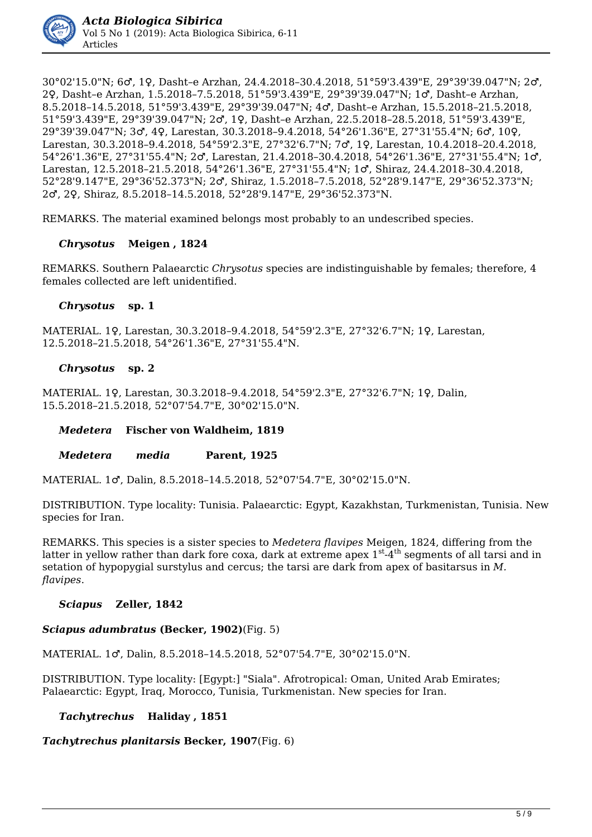

30°02'15.0"N; 6♂, 1♀, Dasht–e Arzhan, 24.4.2018–30.4.2018, 51°59'3.439"E, 29°39'39.047"N; 2♂, 2♀, Dasht–e Arzhan, 1.5.2018–7.5.2018, 51°59'3.439"E, 29°39'39.047"N; 1♂, Dasht–e Arzhan, 8.5.2018–14.5.2018, 51°59'3.439"E, 29°39'39.047"N; 4♂, Dasht–e Arzhan, 15.5.2018–21.5.2018, 51°59'3.439"E, 29°39'39.047"N; 2♂, 1♀, Dasht–e Arzhan, 22.5.2018–28.5.2018, 51°59'3.439"E, 29°39'39.047"N; 3♂, 4♀, Larestan, 30.3.2018–9.4.2018, 54°26'1.36"E, 27°31'55.4"N; 6♂, 10♀, Larestan, 30.3.2018–9.4.2018, 54°59'2.3"E, 27°32'6.7"N; 7♂, 1♀, Larestan, 10.4.2018–20.4.2018, 54°26'1.36"E, 27°31'55.4"N; 2♂, Larestan, 21.4.2018–30.4.2018, 54°26'1.36"E, 27°31'55.4"N; 1♂, Larestan, 12.5.2018–21.5.2018, 54°26'1.36"E, 27°31'55.4"N; 1♂, Shiraz, 24.4.2018–30.4.2018, 52°28'9.147"E, 29°36'52.373"N; 2♂, Shiraz, 1.5.2018–7.5.2018, 52°28'9.147"E, 29°36'52.373"N; 2♂, 2♀, Shiraz, 8.5.2018–14.5.2018, 52°28'9.147"E, 29°36'52.373"N.

REMARKS. The material examined belongs most probably to an undescribed species.

#### *Chrysotus* **Meigen , 1824**

REMARKS. Southern Palaearctic *Chrysotus* species are indistinguishable by females; therefore, 4 females collected are left unidentified.

#### *Chrysotus* **sp. 1**

MATERIAL. 1♀, Larestan, 30.3.2018–9.4.2018, 54°59'2.3"E, 27°32'6.7"N; 1♀, Larestan, 12.5.2018–21.5.2018, 54°26'1.36"E, 27°31'55.4"N.

#### *Chrysotus* **sp. 2**

MATERIAL. 1♀, Larestan, 30.3.2018–9.4.2018, 54°59'2.3"E, 27°32'6.7"N; 1♀, Dalin, 15.5.2018–21.5.2018, 52°07'54.7"E, 30°02'15.0"N.

#### *Medetera* **Fischer von Waldheim, 1819**

#### *Medetera**media* **Parent, 1925**

MATERIAL. 1♂, Dalin, 8.5.2018–14.5.2018, 52°07'54.7"E, 30°02'15.0"N.

DISTRIBUTION. Type locality: Tunisia. Palaearctic: Egypt, Kazakhstan, Turkmenistan, Tunisia. New species for Iran.

REMARKS. This species is a sister species to *Medetera flavipes* Meigen, 1824, differing from the latter in yellow rather than dark fore coxa, dark at extreme apex 1<sup>st</sup>-4<sup>th</sup> segments of all tarsi and in setation of hypopygial surstylus and cercus; the tarsi are dark from apex of basitarsus in *M. flavipes*.

#### *Sciapus* **Zeller, 1842**

## *Sciapus adumbratus* **(Becker, 1902)**(Fig. 5)

MATERIAL. 1♂, Dalin, 8.5.2018–14.5.2018, 52°07'54.7"E, 30°02'15.0"N.

DISTRIBUTION. Type locality: [Egypt:] "Siala". Afrotropical: Oman, United Arab Emirates; Palaearctic: Egypt, Iraq, Morocco, Tunisia, Turkmenistan. New species for Iran.

## *Tachytrechus* **Haliday , 1851**

*Tachytrechus planitarsis* **Becker, 1907**(Fig. 6)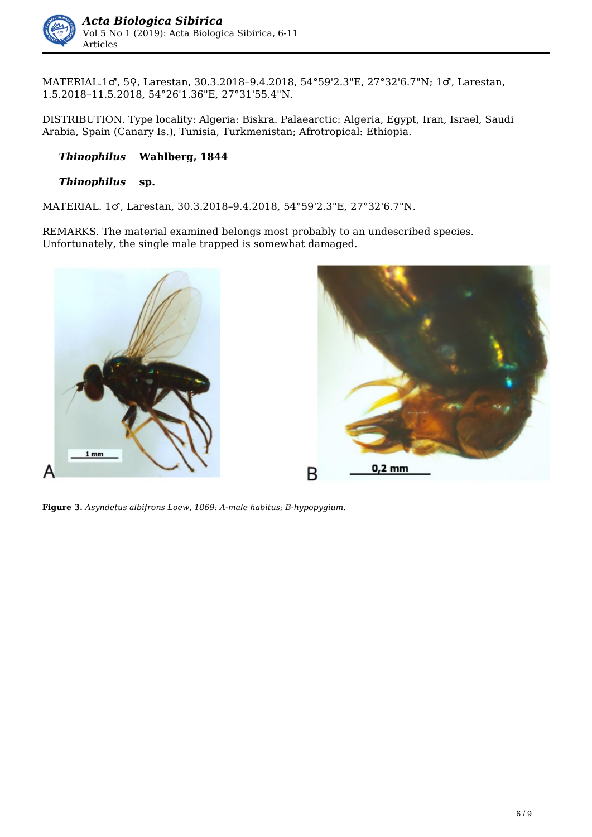

MATERIAL.1♂, 5♀, Larestan, 30.3.2018–9.4.2018, 54°59'2.3"E, 27°32'6.7"N; 1♂, Larestan, 1.5.2018–11.5.2018, 54°26'1.36"E, 27°31'55.4"N.

DISTRIBUTION. Type locality: Algeria: Biskra. Palaearctic: Algeria, Egypt, Iran, Israel, Saudi Arabia, Spain (Canary Is.), Tunisia, Turkmenistan; Afrotropical: Ethiopia.

### *Thinophilus* **Wahlberg, 1844**

#### *Thinophilus* **sp.**

MATERIAL. 1♂, Larestan, 30.3.2018–9.4.2018, 54°59'2.3"E, 27°32'6.7"N.

REMARKS. The material examined belongs most probably to an undescribed species. Unfortunately, the single male trapped is somewhat damaged.



**Figure 3.** *Asyndetus albifrons Loew, 1869: A-male habitus; B-hypopygium.*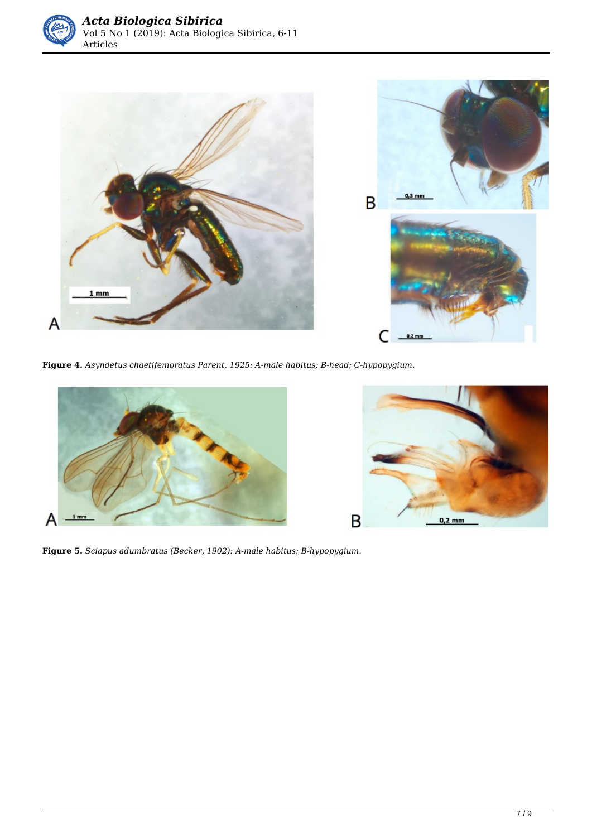



**Figure 4.** *Asyndetus chaetifemoratus Parent, 1925: A-male habitus; B-head; C-hypopygium.* 





**Figure 5.** *Sciapus adumbratus (Becker, 1902): A-male habitus; B-hypopygium.*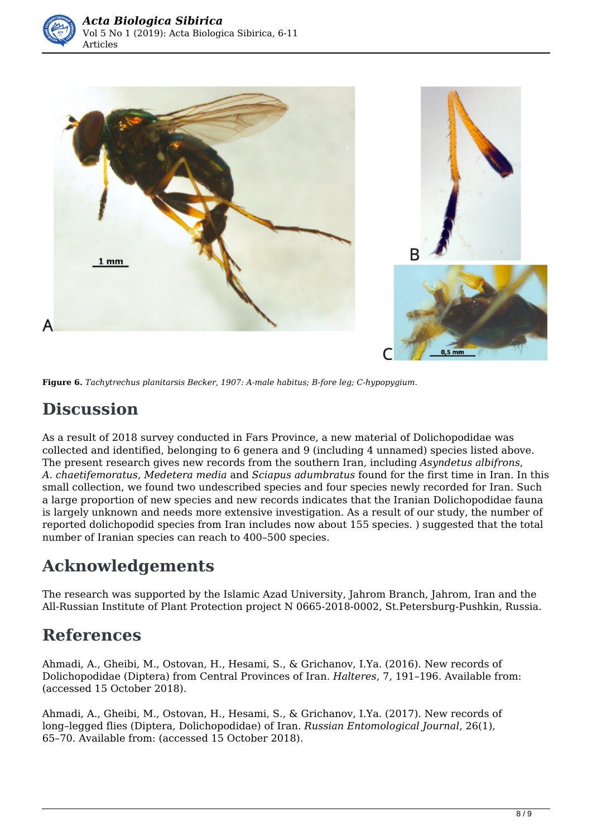



**Figure 6.** *Tachytrechus planitarsis Becker, 1907: A-male habitus; B-fore leg; C-hypopygium.* 

## **Discussion**

As a result of 2018 survey conducted in Fars Province, a new material of Dolichopodidae was collected and identified, belonging to 6 genera and 9 (including 4 unnamed) species listed above. The present research gives new records from the southern Iran, including *Asyndetus albifrons*, *A. chaetifemoratus*, *Medetera media* and *Sciapus adumbratus* found for the first time in Iran. In this small collection, we found two undescribed species and four species newly recorded for Iran. Such a large proportion of new species and new records indicates that the Iranian Dolichopodidae fauna is largely unknown and needs more extensive investigation. As a result of our study, the number of reported dolichopodid species from Iran includes now about 155 species. ) suggested that the total number of Iranian species can reach to 400–500 species.

## **Acknowledgements**

The research was supported by the Islamic Azad University, Jahrom Branch, Jahrom, Iran and the All-Russian Institute of Plant Protection project N 0665-2018-0002, St.Petersburg-Pushkin, Russia.

## **References**

Ahmadi, A., Gheibi, M., Ostovan, H., Hesami, S., & Grichanov, I.Ya. (2016). New records of Dolichopodidae (Diptera) from Central Provinces of Iran. *Halteres*, 7, 191–196. Available from: (accessed 15 October 2018).

Ahmadi, A., Gheibi, M., Ostovan, H., Hesami, S., & Grichanov, I.Ya. (2017). New records of long–legged flies (Diptera, Dolichopodidae) of Iran. *Russian Entomological Journal*, 26(1), 65–70*.* Available from: (accessed 15 October 2018).